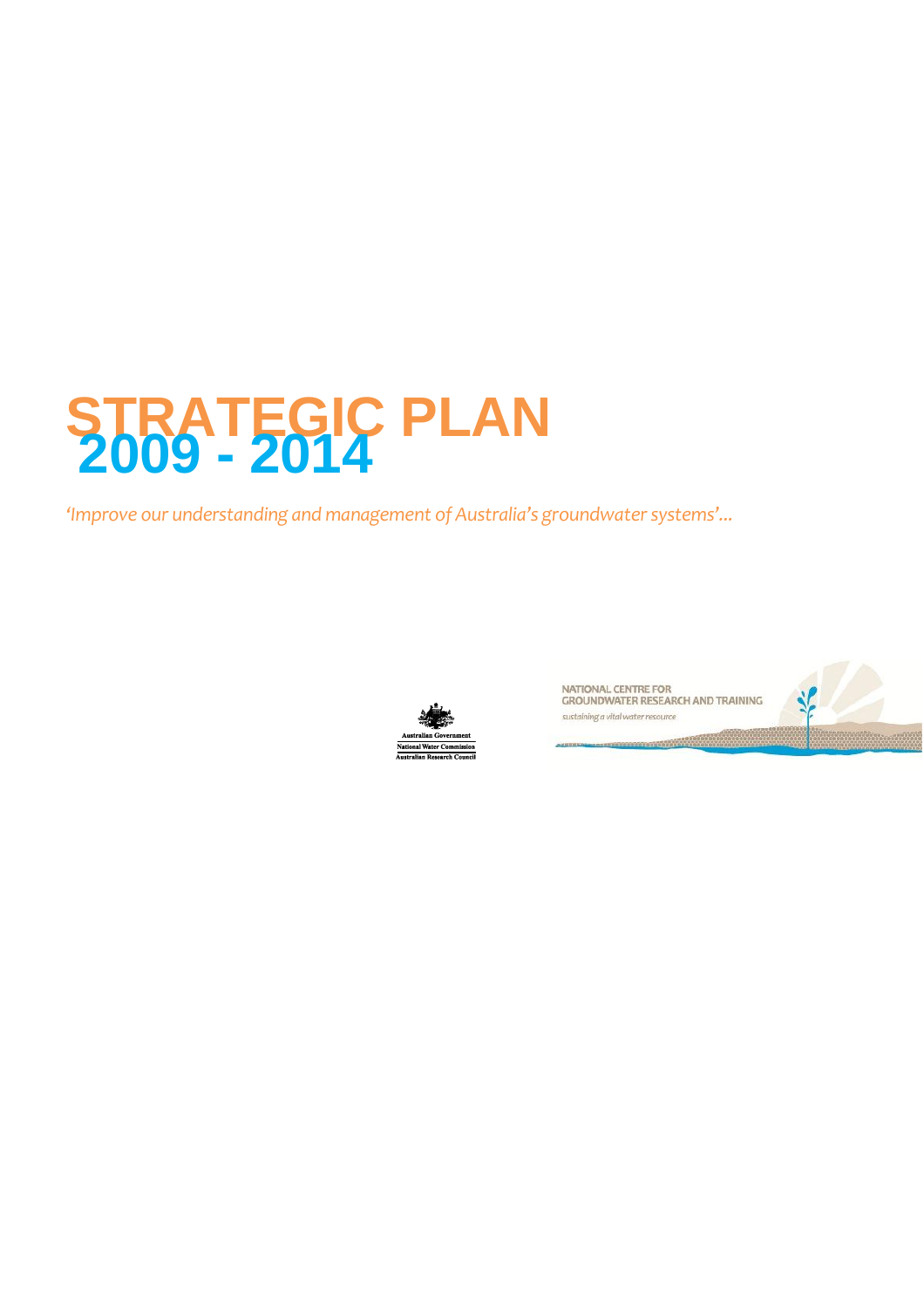### **STRATEGIC PLAN 2009 - 2014**

*'Improve our understanding and management of Australia's groundwater systems'...*



NATIONAL CENTRE FOR<br>GROUNDWATER RESEARCH AND TRAINING sustaining a vital water resource

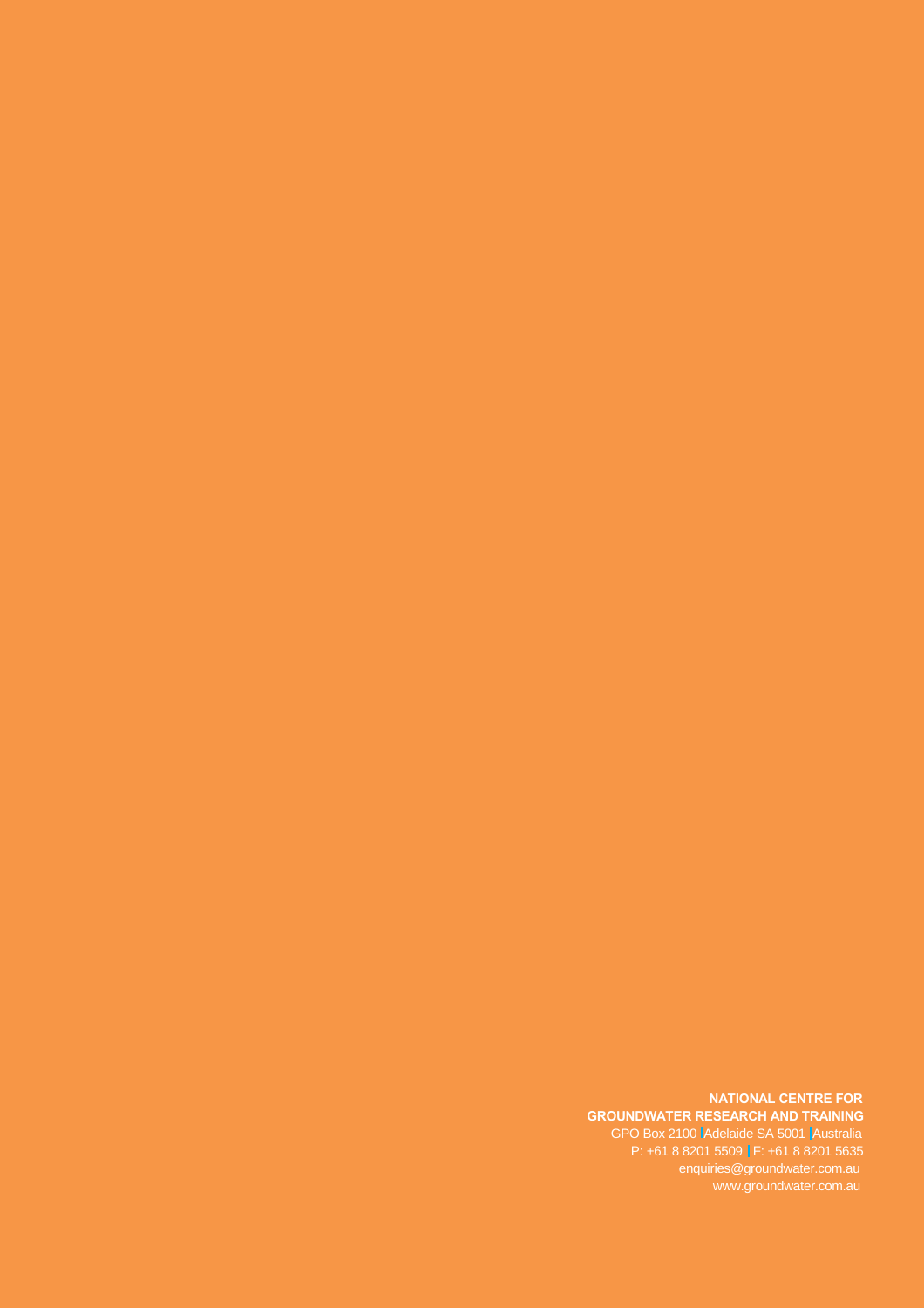#### **NATIONAL CENTRE FOR GROUNDWATER RESEARCH AND TRAINING**

GPO Box 2100 Adelaide SA 5001 Australia P: +61 8 8201 5509 | F: +61 8 8201 5635 enquiries@groundwater.com.au www.groundwater.com.au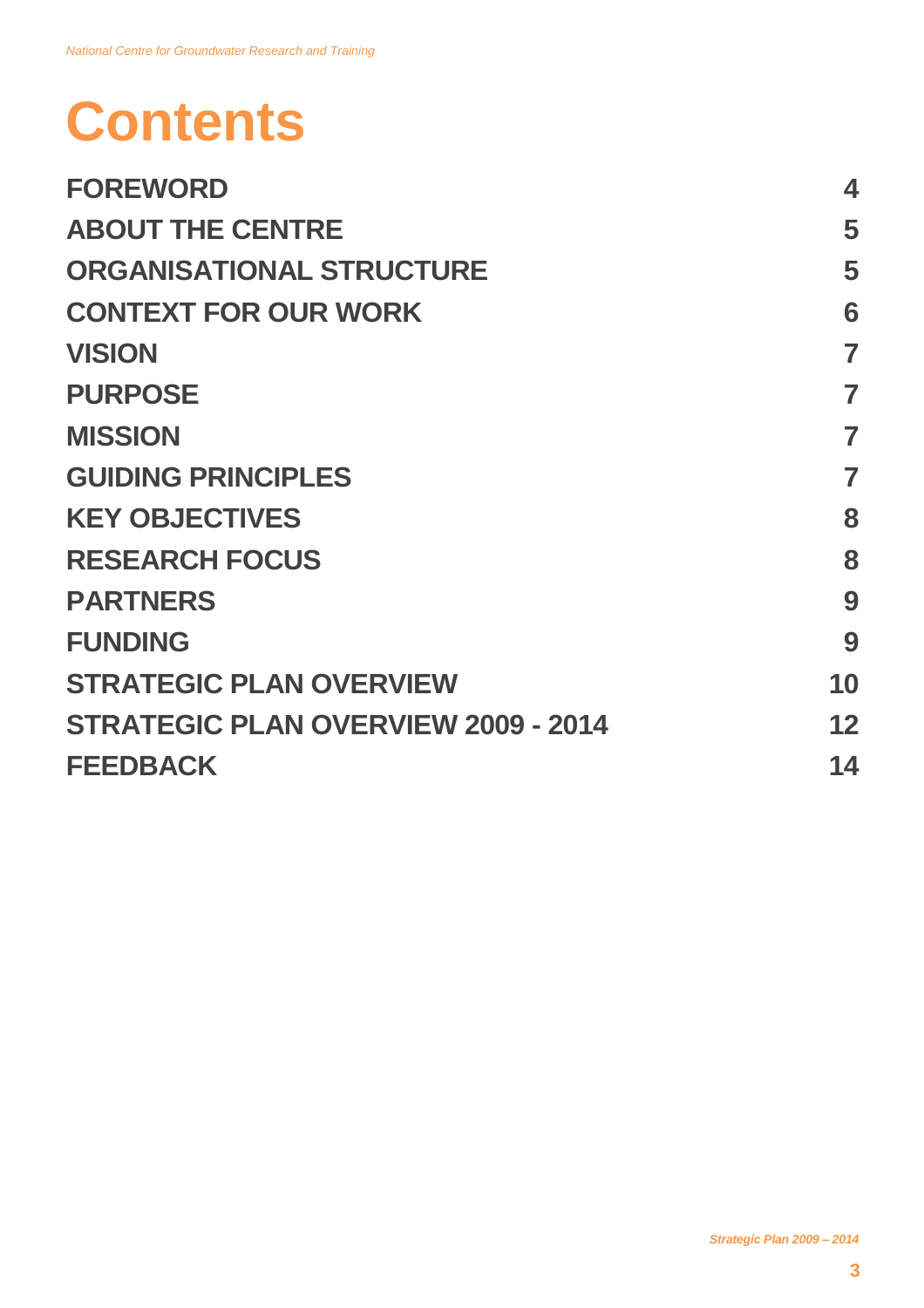# **Contents**

| <b>FOREWORD</b>                            | 4              |
|--------------------------------------------|----------------|
| <b>ABOUT THE CENTRE</b>                    | 5              |
| <b>ORGANISATIONAL STRUCTURE</b>            | 5              |
| <b>CONTEXT FOR OUR WORK</b>                | 6              |
| <b>VISION</b>                              | $\overline{7}$ |
| <b>PURPOSE</b>                             | 7              |
| <b>MISSION</b>                             | 7              |
| <b>GUIDING PRINCIPLES</b>                  | 7              |
| <b>KEY OBJECTIVES</b>                      | 8              |
| <b>RESEARCH FOCUS</b>                      | 8              |
| <b>PARTNERS</b>                            | 9              |
| <b>FUNDING</b>                             | 9              |
| <b>STRATEGIC PLAN OVERVIEW</b>             | 10             |
| <b>STRATEGIC PLAN OVERVIEW 2009 - 2014</b> | 12             |
| <b>FEEDBACK</b>                            | 14             |
|                                            |                |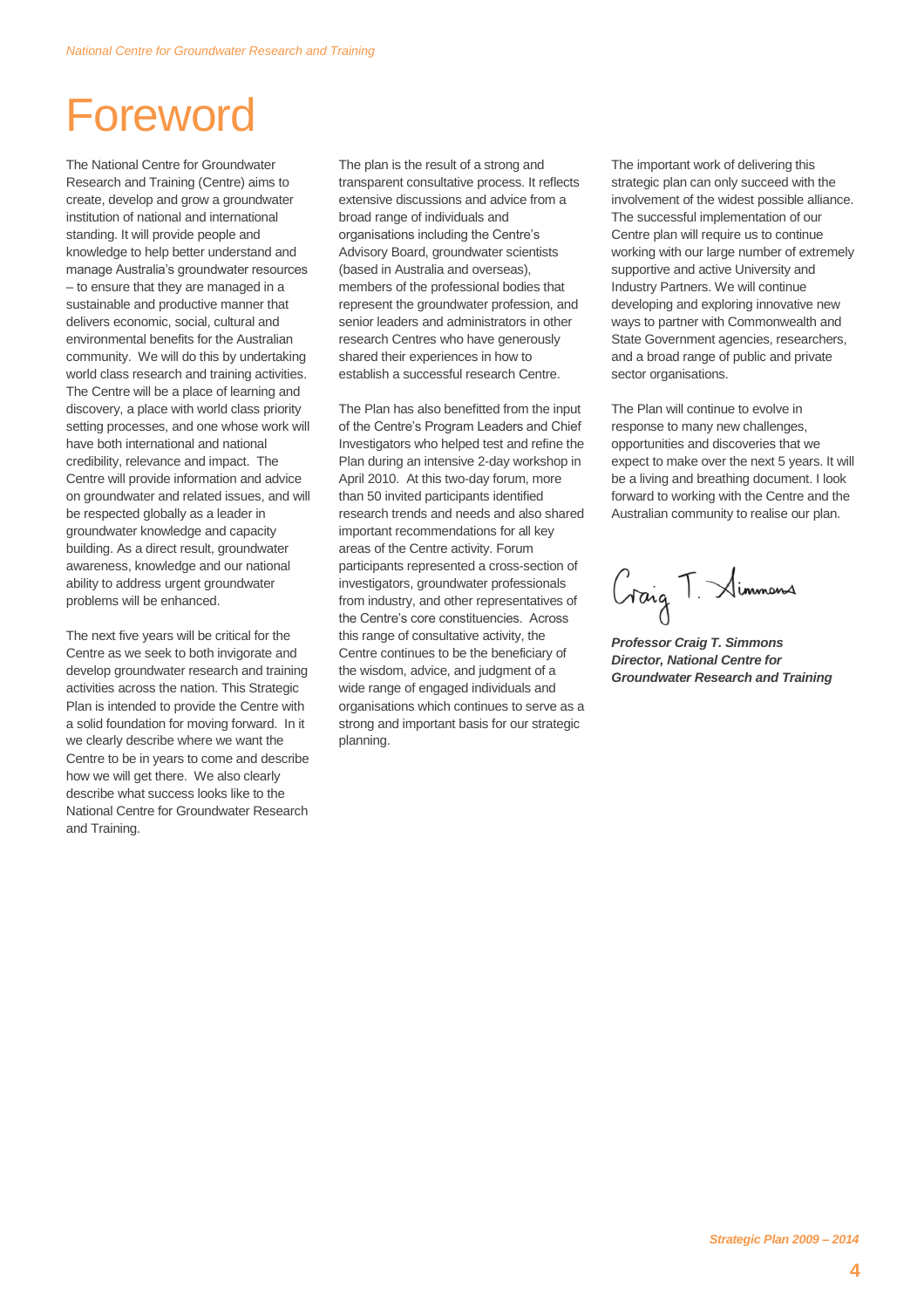### Foreword

The National Centre for Groundwater Research and Training (Centre) aims to create, develop and grow a groundwater institution of national and international standing. It will provide people and knowledge to help better understand and manage Australia's groundwater resources – to ensure that they are managed in a sustainable and productive manner that delivers economic, social, cultural and environmental benefits for the Australian community. We will do this by undertaking world class research and training activities. The Centre will be a place of learning and discovery, a place with world class priority setting processes, and one whose work will have both international and national credibility, relevance and impact. The Centre will provide information and advice on groundwater and related issues, and will be respected globally as a leader in groundwater knowledge and capacity building. As a direct result, groundwater awareness, knowledge and our national ability to address urgent groundwater problems will be enhanced.

The next five years will be critical for the Centre as we seek to both invigorate and develop groundwater research and training activities across the nation. This Strategic Plan is intended to provide the Centre with a solid foundation for moving forward. In it we clearly describe where we want the Centre to be in years to come and describe how we will get there. We also clearly describe what success looks like to the National Centre for Groundwater Research and Training.

The plan is the result of a strong and transparent consultative process. It reflects extensive discussions and advice from a broad range of individuals and organisations including the Centre's Advisory Board, groundwater scientists (based in Australia and overseas), members of the professional bodies that represent the groundwater profession, and senior leaders and administrators in other research Centres who have generously shared their experiences in how to establish a successful research Centre.

The Plan has also benefitted from the input of the Centre's Program Leaders and Chief Investigators who helped test and refine the Plan during an intensive 2-day workshop in April 2010. At this two-day forum, more than 50 invited participants identified research trends and needs and also shared important recommendations for all key areas of the Centre activity. Forum participants represented a cross-section of investigators, groundwater professionals from industry, and other representatives of the Centre's core constituencies. Across this range of consultative activity, the Centre continues to be the beneficiary of the wisdom, advice, and judgment of a wide range of engaged individuals and organisations which continues to serve as a strong and important basis for our strategic planning.

The important work of delivering this strategic plan can only succeed with the involvement of the widest possible alliance. The successful implementation of our Centre plan will require us to continue working with our large number of extremely supportive and active University and Industry Partners. We will continue developing and exploring innovative new ways to partner with Commonwealth and State Government agencies, researchers, and a broad range of public and private sector organisations.

The Plan will continue to evolve in response to many new challenges, opportunities and discoveries that we expect to make over the next 5 years. It will be a living and breathing document. I look forward to working with the Centre and the Australian community to realise our plan.

Graig T. Simmons

*Professor Craig T. Simmons Director, National Centre for Groundwater Research and Training*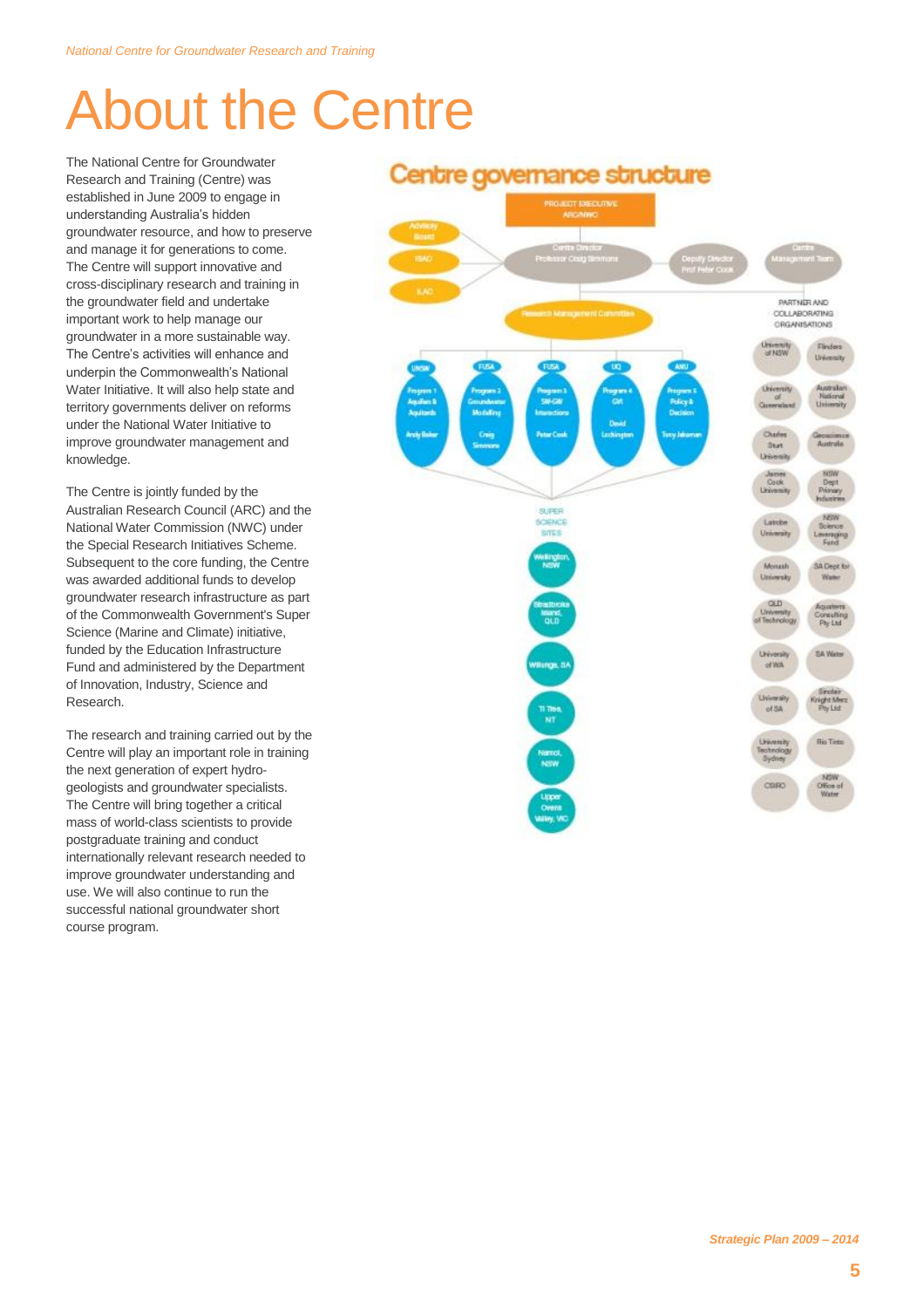# About the Centre

The National Centre for Groundwater Research and Training (Centre) was established in June 2009 to engage in understanding Australia's hidden groundwater resource, and how to preserve and manage it for generations to come. The Centre will support innovative and cross-disciplinary research and training in the groundwater field and undertake important work to help manage our groundwater in a more sustainable way. The Centre's activities will enhance and underpin the Commonwealth's National Water Initiative. It will also help state and territory governments deliver on reforms under the National Water Initiative to improve groundwater management and knowledge.

The Centre is jointly funded by the Australian Research Council (ARC) and the National Water Commission (NWC) under the Special Research Initiatives Scheme. Subsequent to the core funding, the Centre was awarded additional funds to develop groundwater research infrastructure as part of the Commonwealth Government's Super Science (Marine and Climate) initiative, funded by the Education Infrastructure Fund and administered by the Department of Innovation, Industry, Science and Research.

The research and training carried out by the Centre will play an important role in training the next generation of expert hydrogeologists and groundwater specialists. The Centre will bring together a critical mass of world-class scientists to provide postgraduate training and conduct internationally relevant research needed to improve groundwater understanding and use. We will also continue to run the successful national groundwater short course program.

#### Centre governance structure

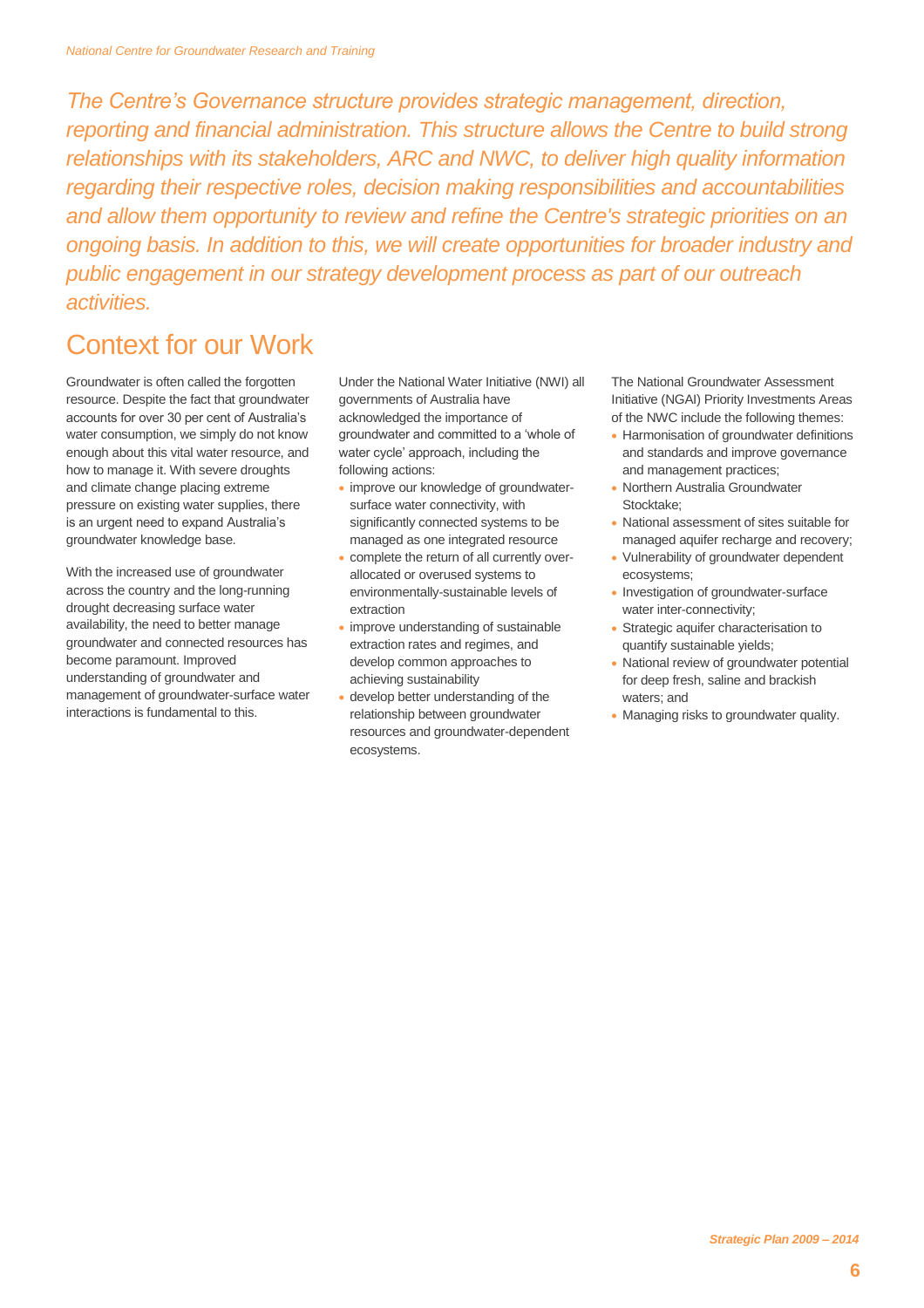*The Centre's Governance structure provides strategic management, direction, reporting and financial administration. This structure allows the Centre to build strong relationships with its stakeholders, ARC and NWC, to deliver high quality information regarding their respective roles, decision making responsibilities and accountabilities and allow them opportunity to review and refine the Centre's strategic priorities on an ongoing basis. In addition to this, we will create opportunities for broader industry and public engagement in our strategy development process as part of our outreach activities.*

### Context for our Work

Groundwater is often called the forgotten resource. Despite the fact that groundwater accounts for over 30 per cent of Australia's water consumption, we simply do not know enough about this vital water resource, and how to manage it. With severe droughts and climate change placing extreme pressure on existing water supplies, there is an urgent need to expand Australia's groundwater knowledge base.

With the increased use of groundwater across the country and the long-running drought decreasing surface water availability, the need to better manage groundwater and connected resources has become paramount. Improved understanding of groundwater and management of groundwater-surface water interactions is fundamental to this.

Under the National Water Initiative (NWI) all governments of Australia have acknowledged the importance of groundwater and committed to a 'whole of water cycle' approach, including the following actions:

- improve our knowledge of groundwatersurface water connectivity, with significantly connected systems to be managed as one integrated resource
- complete the return of all currently overallocated or overused systems to environmentally-sustainable levels of extraction
- improve understanding of sustainable extraction rates and regimes, and develop common approaches to achieving sustainability
- develop better understanding of the relationship between groundwater resources and groundwater-dependent ecosystems.

The National Groundwater Assessment Initiative (NGAI) Priority Investments Areas of the NWC include the following themes:

- Harmonisation of groundwater definitions and standards and improve governance and management practices;
- Northern Australia Groundwater Stocktake;
- National assessment of sites suitable for managed aquifer recharge and recovery;
- Vulnerability of groundwater dependent ecosystems;
- Investigation of groundwater-surface water inter-connectivity;
- Strategic aquifer characterisation to quantify sustainable yields;
- National review of groundwater potential for deep fresh, saline and brackish waters; and
- Managing risks to groundwater quality.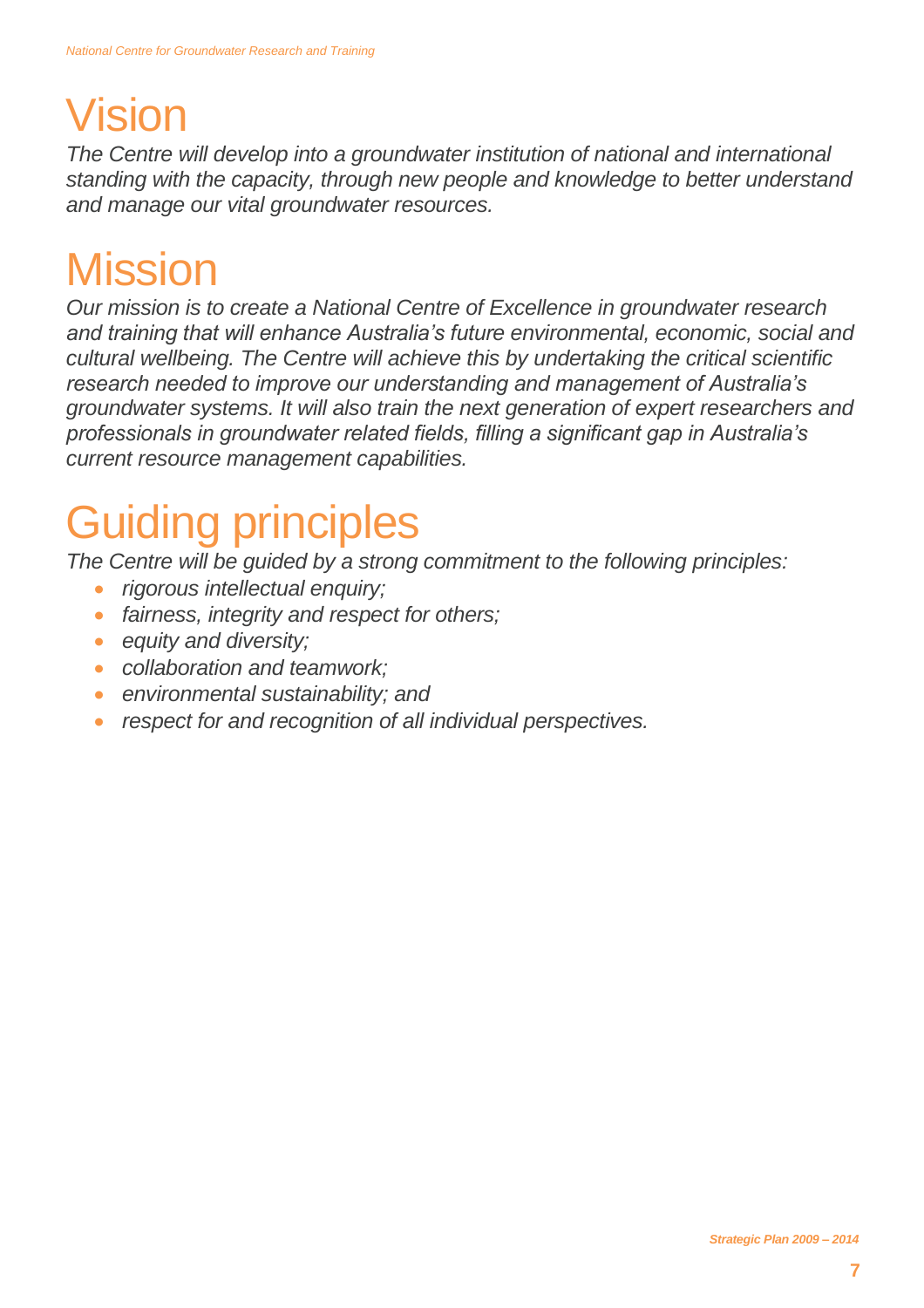## Vision

*The Centre will develop into a groundwater institution of national and international standing with the capacity, through new people and knowledge to better understand and manage our vital groundwater resources.*

## **Mission**

*Our mission is to create a National Centre of Excellence in groundwater research and training that will enhance Australia's future environmental, economic, social and cultural wellbeing. The Centre will achieve this by undertaking the critical scientific research needed to improve our understanding and management of Australia's groundwater systems. It will also train the next generation of expert researchers and professionals in groundwater related fields, filling a significant gap in Australia's current resource management capabilities.*

# Guiding principles

*The Centre will be guided by a strong commitment to the following principles:*

- *rigorous intellectual enquiry;*
- *fairness, integrity and respect for others;*
- *equity and diversity;*
- *collaboration and teamwork;*
- *environmental sustainability; and*
- *respect for and recognition of all individual perspectives.*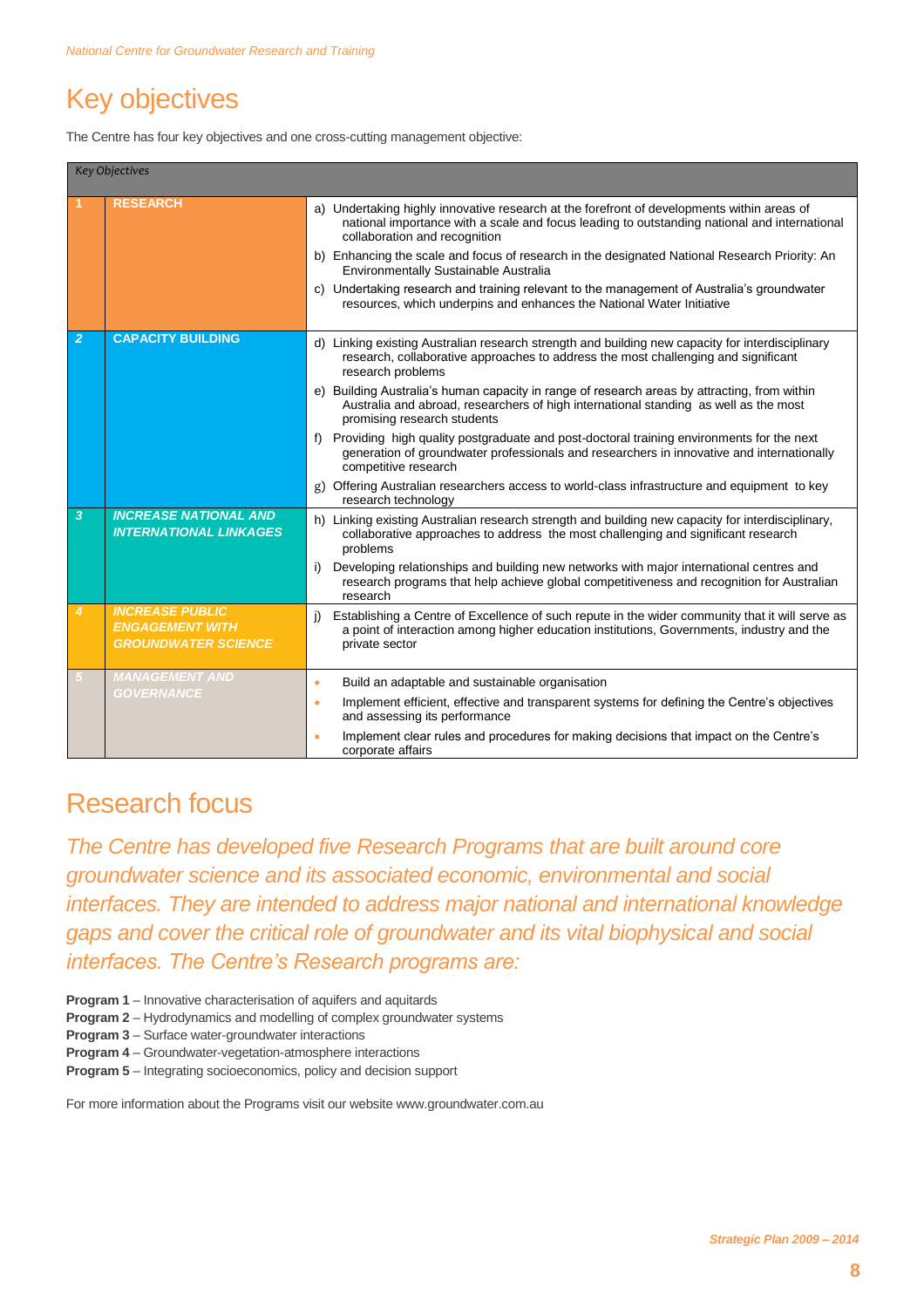### Key objectives

The Centre has four key objectives and one cross-cutting management objective:

|                         | <b>Key Objectives</b>                                                          |                                                                                                                                                                                                                             |
|-------------------------|--------------------------------------------------------------------------------|-----------------------------------------------------------------------------------------------------------------------------------------------------------------------------------------------------------------------------|
|                         | <b>RESEARCH</b>                                                                | a) Undertaking highly innovative research at the forefront of developments within areas of<br>national importance with a scale and focus leading to outstanding national and international<br>collaboration and recognition |
|                         |                                                                                | b) Enhancing the scale and focus of research in the designated National Research Priority: An<br>Environmentally Sustainable Australia                                                                                      |
|                         |                                                                                | c) Undertaking research and training relevant to the management of Australia's groundwater<br>resources, which underpins and enhances the National Water Initiative                                                         |
| $\overline{2}$          | <b>CAPACITY BUILDING</b>                                                       | d) Linking existing Australian research strength and building new capacity for interdisciplinary<br>research, collaborative approaches to address the most challenging and significant<br>research problems                 |
|                         |                                                                                | e) Building Australia's human capacity in range of research areas by attracting, from within<br>Australia and abroad, researchers of high international standing as well as the most<br>promising research students         |
|                         |                                                                                | f) Providing high quality postgraduate and post-doctoral training environments for the next<br>generation of groundwater professionals and researchers in innovative and internationally<br>competitive research            |
|                         |                                                                                | g) Offering Australian researchers access to world-class infrastructure and equipment to key<br>research technology                                                                                                         |
| $\overline{\mathbf{3}}$ | <b>INCREASE NATIONAL AND</b><br><b>INTERNATIONAL LINKAGES</b>                  | h) Linking existing Australian research strength and building new capacity for interdisciplinary,<br>collaborative approaches to address the most challenging and significant research<br>problems                          |
|                         |                                                                                | Developing relationships and building new networks with major international centres and<br>i)<br>research programs that help achieve global competitiveness and recognition for Australian<br>research                      |
| 4                       | <b>INCREASE PUBLIC</b><br><b>ENGAGEMENT WITH</b><br><b>GROUNDWATER SCIENCE</b> | Establishing a Centre of Excellence of such repute in the wider community that it will serve as<br>i)<br>a point of interaction among higher education institutions, Governments, industry and the<br>private sector        |
|                         | <b>MANAGEMENT AND</b><br><b>GOVERNANCE</b>                                     | Build an adaptable and sustainable organisation<br>٠                                                                                                                                                                        |
|                         |                                                                                | Implement efficient, effective and transparent systems for defining the Centre's objectives<br>$\bullet$<br>and assessing its performance                                                                                   |
|                         |                                                                                | Implement clear rules and procedures for making decisions that impact on the Centre's<br>$\bullet$<br>corporate affairs                                                                                                     |

#### Research focus

*The Centre has developed five Research Programs that are built around core groundwater science and its associated economic, environmental and social interfaces. They are intended to address major national and international knowledge gaps and cover the critical role of groundwater and its vital biophysical and social interfaces. The Centre's Research programs are:*

- **Program 1** Innovative characterisation of aquifers and aquitards
- **Program 2** Hydrodynamics and modelling of complex groundwater systems
- **Program 3** Surface water-groundwater interactions
- **Program 4** Groundwater-vegetation-atmosphere interactions
- **Program 5** Integrating socioeconomics, policy and decision support

For more information about the Programs visit our website www.groundwater.com.au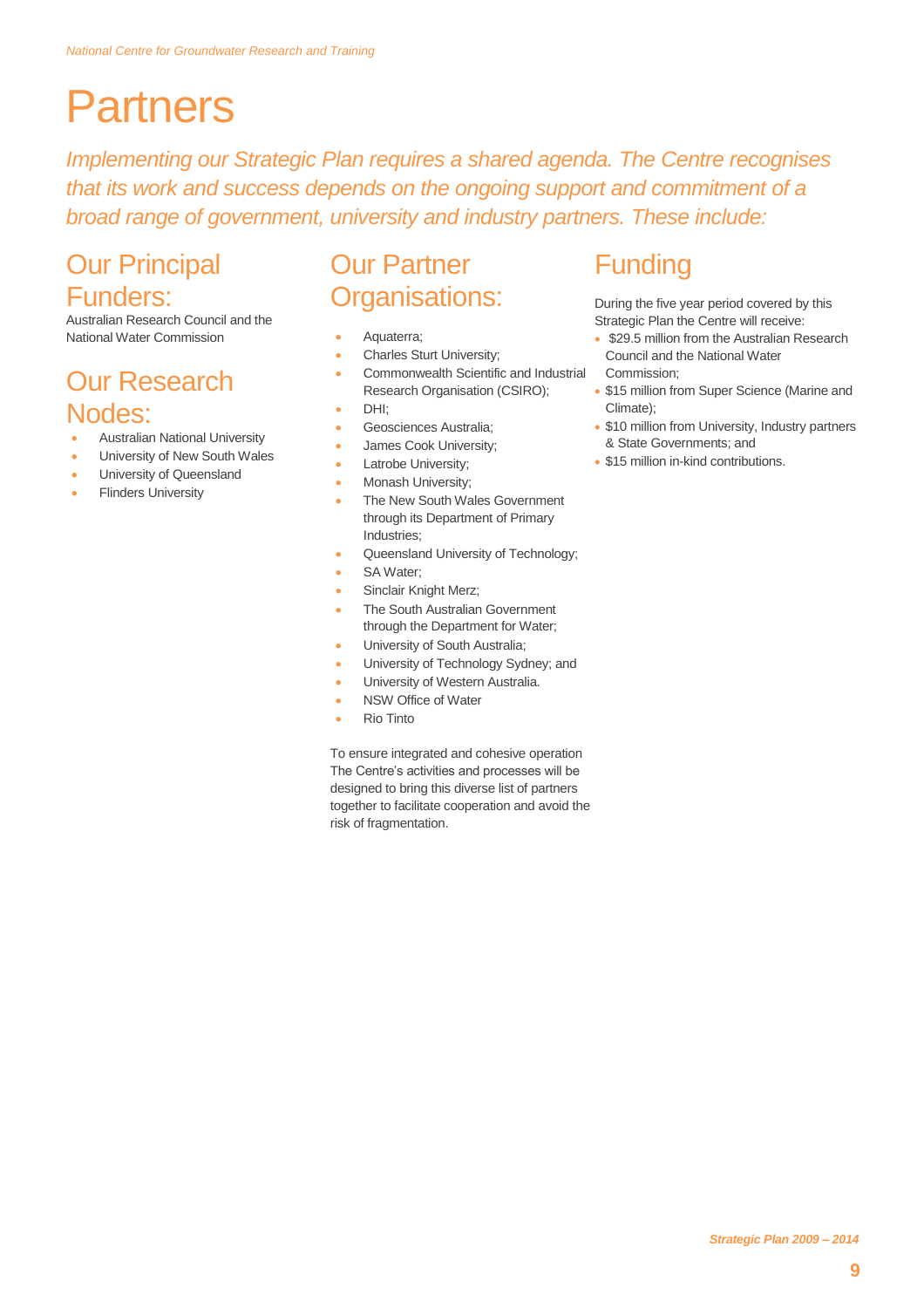### **Partners**

*Implementing our Strategic Plan requires a shared agenda. The Centre recognises that its work and success depends on the ongoing support and commitment of a broad range of government, university and industry partners. These include:*

### **Our Principal** Funders:

Australian Research Council and the National Water Commission

### Our Research Nodes:

- Australian National University
- University of New South Wales
- University of Queensland
- Flinders University

### Our Partner Organisations:

- Aquaterra;
- Charles Sturt University;
- Commonwealth Scientific and Industrial Research Organisation (CSIRO);
- DHI;
- Geosciences Australia;
- James Cook University;
- Latrobe University;
- Monash University;
- The New South Wales Government through its Department of Primary Industries;
- Queensland University of Technology;
- SA Water;
- Sinclair Knight Merz;
- The South Australian Government through the Department for Water;
- University of South Australia;
- University of Technology Sydney; and
- University of Western Australia.
- NSW Office of Water
- Rio Tinto

To ensure integrated and cohesive operation The Centre's activities and processes will be designed to bring this diverse list of partners together to facilitate cooperation and avoid the risk of fragmentation.

#### Funding

During the five year period covered by this Strategic Plan the Centre will receive:

- \$29.5 million from the Australian Research Council and the National Water Commission;
- \$15 million from Super Science (Marine and Climate);
- \$10 million from University, Industry partners & State Governments; and
- \$15 million in-kind contributions.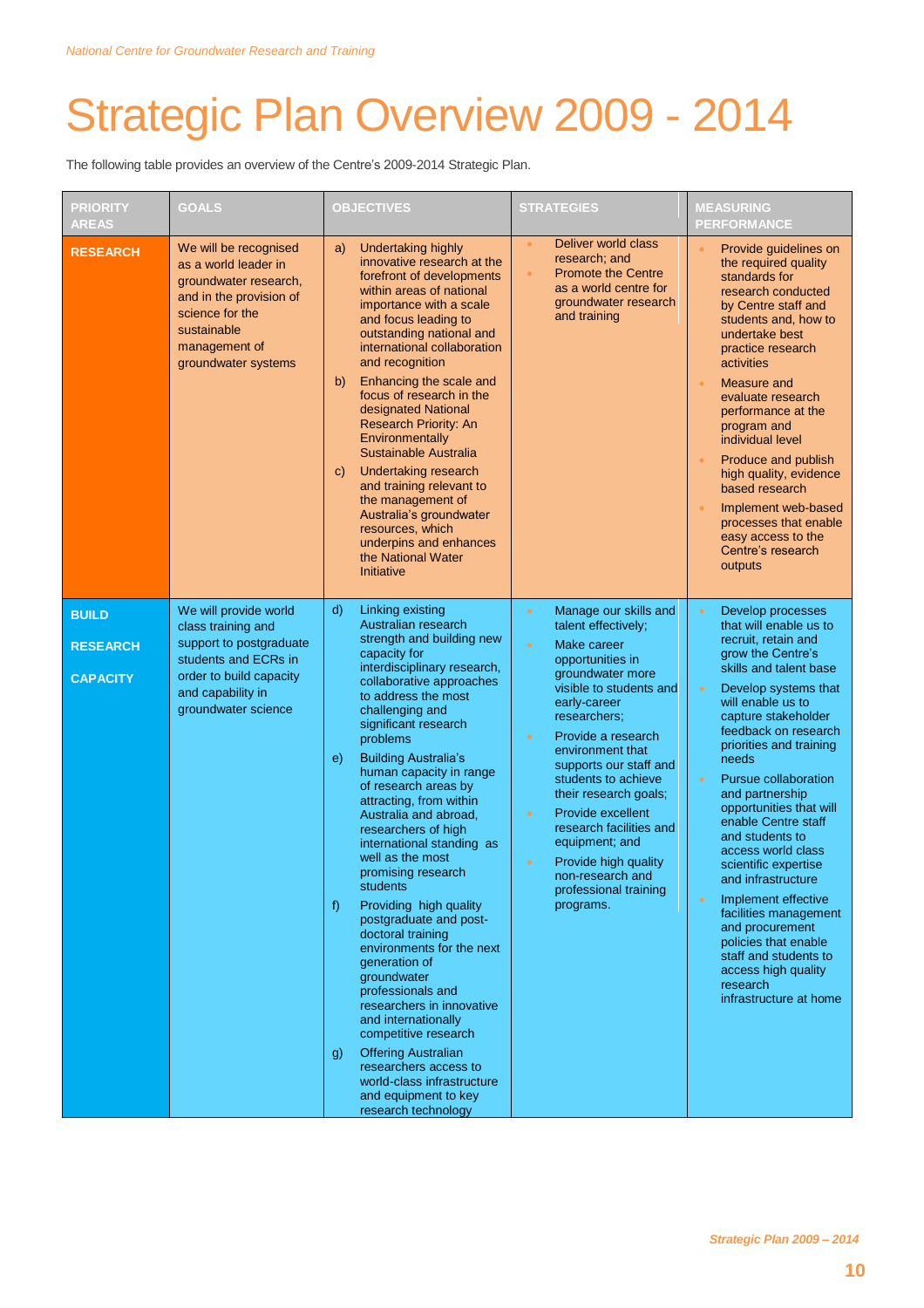## Strategic Plan Overview 2009 - 2014

The following table provides an overview of the Centre's 2009-2014 Strategic Plan.

| <b>PRIORITY</b><br><b>AREAS</b>                    | <b>GOALS</b>                                                                                                                                                                | <b>OBJECTIVES</b>                                                                                                                                                                                                                                                                                                                                                                                                                                                                                                                                                                                                                                                                                                                                                                                                                                                                | <b>STRATEGIES</b>                                                                                                                                                                                                                                                                                                                                                                                                                                                                                       | <b>MEASURING</b><br><b>PERFORMANCE</b>                                                                                                                                                                                                                                                                                                                                                                                                                                                                                                                                                                                                                                     |  |
|----------------------------------------------------|-----------------------------------------------------------------------------------------------------------------------------------------------------------------------------|----------------------------------------------------------------------------------------------------------------------------------------------------------------------------------------------------------------------------------------------------------------------------------------------------------------------------------------------------------------------------------------------------------------------------------------------------------------------------------------------------------------------------------------------------------------------------------------------------------------------------------------------------------------------------------------------------------------------------------------------------------------------------------------------------------------------------------------------------------------------------------|---------------------------------------------------------------------------------------------------------------------------------------------------------------------------------------------------------------------------------------------------------------------------------------------------------------------------------------------------------------------------------------------------------------------------------------------------------------------------------------------------------|----------------------------------------------------------------------------------------------------------------------------------------------------------------------------------------------------------------------------------------------------------------------------------------------------------------------------------------------------------------------------------------------------------------------------------------------------------------------------------------------------------------------------------------------------------------------------------------------------------------------------------------------------------------------------|--|
| <b>RESEARCH</b>                                    | We will be recognised<br>as a world leader in<br>groundwater research,<br>and in the provision of<br>science for the<br>sustainable<br>management of<br>groundwater systems | <b>Undertaking highly</b><br>a)<br>innovative research at the<br>forefront of developments<br>within areas of national<br>importance with a scale<br>and focus leading to<br>outstanding national and<br>international collaboration<br>and recognition<br>Enhancing the scale and<br>b)<br>focus of research in the<br>designated National<br>Research Priority: An<br>Environmentally<br>Sustainable Australia<br>Undertaking research<br>C)<br>and training relevant to<br>the management of<br>Australia's groundwater<br>resources, which<br>underpins and enhances<br>the National Water<br>Initiative                                                                                                                                                                                                                                                                     | Deliver world class<br>$\bullet$<br>research; and<br><b>Promote the Centre</b><br>$\bullet$<br>as a world centre for<br>groundwater research<br>and training                                                                                                                                                                                                                                                                                                                                            | Provide guidelines on<br>the required quality<br>standards for<br>research conducted<br>by Centre staff and<br>students and, how to<br>undertake best<br>practice research<br>activities<br>Measure and<br>$\bullet$<br>evaluate research<br>performance at the<br>program and<br>individual level<br>Produce and publish<br>high quality, evidence<br>based research<br>Implement web-based<br>processes that enable<br>easy access to the<br>Centre's research<br>outputs                                                                                                                                                                                                |  |
| <b>BUILD</b><br><b>RESEARCH</b><br><b>CAPACITY</b> | We will provide world<br>class training and<br>support to postgraduate<br>students and ECRs in<br>order to build capacity<br>and capability in<br>groundwater science       | d)<br>Linking existing<br>Australian research<br>strength and building new<br>capacity for<br>interdisciplinary research,<br>collaborative approaches<br>to address the most<br>challenging and<br>significant research<br>problems<br><b>Building Australia's</b><br>e)<br>human capacity in range<br>of research areas by<br>attracting, from within<br>Australia and abroad,<br>researchers of high<br>international standing as<br>well as the most<br>promising research<br>students<br>Providing high quality<br>f)<br>postgraduate and post-<br>doctoral training<br>environments for the next<br>generation of<br>groundwater<br>professionals and<br>researchers in innovative<br>and internationally<br>competitive research<br><b>Offering Australian</b><br>g)<br>researchers access to<br>world-class infrastructure<br>and equipment to key<br>research technology | Manage our skills and<br>$\bullet$<br>talent effectively:<br>Make career<br>$\bullet$<br>opportunities in<br>groundwater more<br>visible to students and<br>early-career<br>researchers;<br>Provide a research<br>$\bullet$<br>environment that<br>supports our staff and<br>students to achieve<br>their research goals;<br>Provide excellent<br>$\bullet$<br>research facilities and<br>equipment; and<br>Provide high quality<br>$\bullet$<br>non-research and<br>professional training<br>programs. | Develop processes<br>$\bullet$<br>that will enable us to<br>recruit, retain and<br>grow the Centre's<br>skills and talent base<br>Develop systems that<br>$\bullet$<br>will enable us to<br>capture stakeholder<br>feedback on research<br>priorities and training<br>needs<br>Pursue collaboration<br>$\bullet$<br>and partnership<br>opportunities that will<br>enable Centre staff<br>and students to<br>access world class<br>scientific expertise<br>and infrastructure<br>Implement effective<br>$\bullet$<br>facilities management<br>and procurement<br>policies that enable<br>staff and students to<br>access high quality<br>research<br>infrastructure at home |  |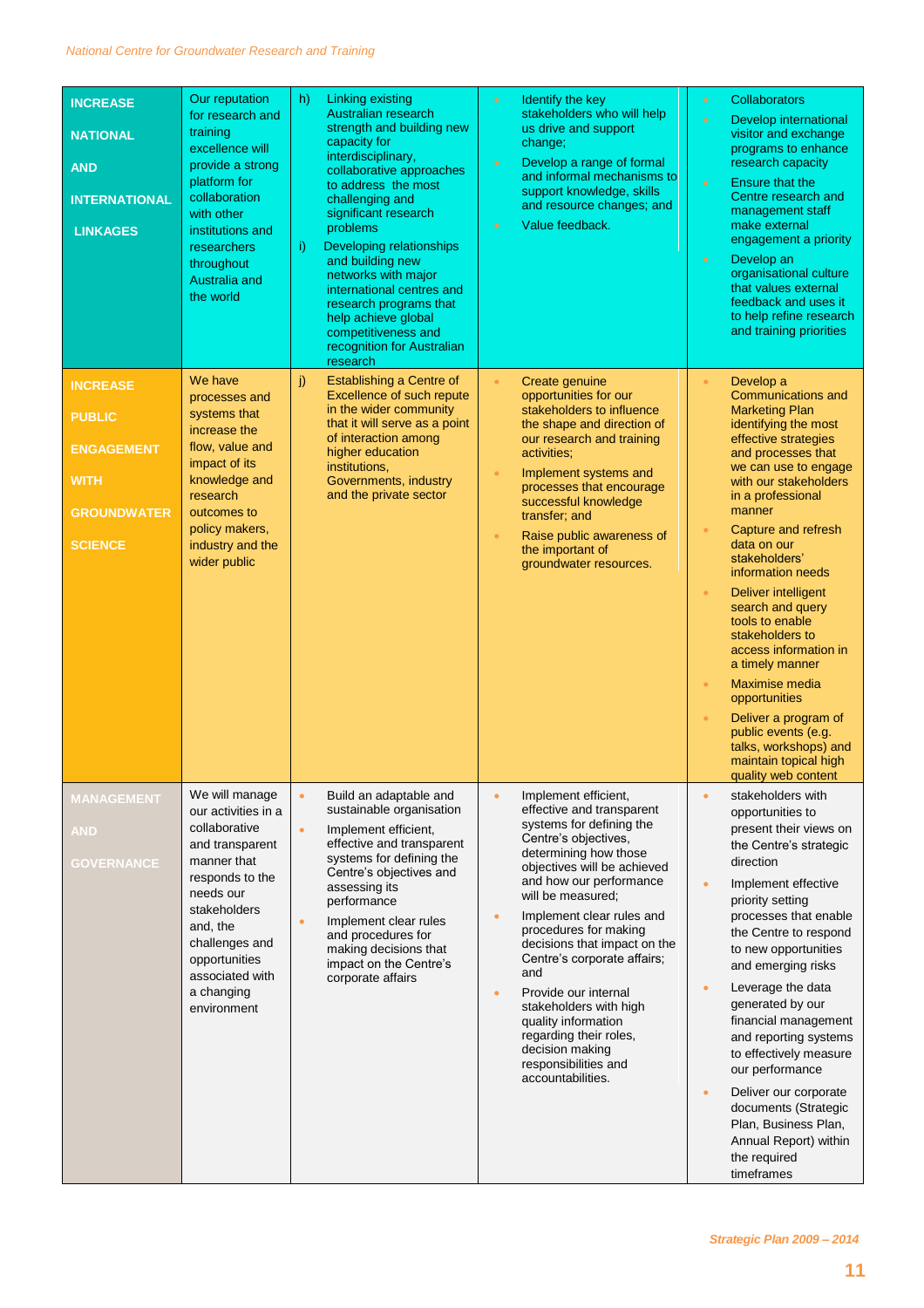| <b>INCREASE</b><br><b>NATIONAL</b><br><b>AND</b><br><b>INTERNATIONAL</b><br><b>LINKAGES</b><br><b>INCREASE</b><br><b>PUBLIC</b><br><b>ENGAGEMENT</b><br><b>WITH</b><br><b>GROUNDWATER</b><br><b>SCIENCE</b> | Our reputation<br>for research and<br>training<br>excellence will<br>provide a strong<br>platform for<br>collaboration<br>with other<br>institutions and<br>researchers<br>throughout<br>Australia and<br>the world<br>We have<br>processes and<br>systems that<br>increase the<br>flow, value and<br>impact of its<br>knowledge and<br>research<br>outcomes to<br>policy makers,<br>industry and the<br>wider public | h)<br>i)<br>j)                      | Linking existing<br><b>Australian research</b><br>strength and building new<br>capacity for<br>interdisciplinary,<br>collaborative approaches<br>to address the most<br>challenging and<br>significant research<br>problems<br>Developing relationships<br>and building new<br>networks with major<br>international centres and<br>research programs that<br>help achieve global<br>competitiveness and<br>recognition for Australian<br>research<br>Establishing a Centre of<br>Excellence of such repute<br>in the wider community<br>that it will serve as a point<br>of interaction among<br>higher education<br>institutions,<br>Governments, industry<br>and the private sector | $\bullet$<br>$\bullet$<br>$\bullet$<br>$\bullet$<br>$\bullet$<br>$\bullet$ | Identify the key<br>stakeholders who will help<br>us drive and support<br>change;<br>Develop a range of formal<br>and informal mechanisms to<br>support knowledge, skills<br>and resource changes; and<br>Value feedback.<br>Create genuine<br>opportunities for our<br>stakeholders to influence<br>the shape and direction of<br>our research and training<br>activities;<br>Implement systems and<br>processes that encourage<br>successful knowledge<br>transfer; and<br>Raise public awareness of<br>the important of<br>groundwater resources. | $\bullet$<br>$\bullet$<br>$\bullet$<br>$\bullet$<br>ö<br>$\bullet$<br>$\bullet$<br>$\bullet$ | <b>Collaborators</b><br>Develop international<br>visitor and exchange<br>programs to enhance<br>research capacity<br><b>Ensure that the</b><br>Centre research and<br>management staff<br>make external<br>engagement a priority<br>Develop an<br>organisational culture<br>that values external<br>feedback and uses it<br>to help refine research<br>and training priorities<br>Develop a<br>Communications and<br><b>Marketing Plan</b><br>identifying the most<br>effective strategies<br>and processes that<br>we can use to engage<br>with our stakeholders<br>in a professional<br>manner<br>Capture and refresh<br>data on our<br>stakeholders'<br>information needs<br>Deliver intelligent<br>search and query<br>tools to enable<br>stakeholders to<br>access information in<br>a timely manner<br>Maximise media<br>opportunities<br>Deliver a program of<br>public events (e.g.<br>talks, workshops) and |
|-------------------------------------------------------------------------------------------------------------------------------------------------------------------------------------------------------------|-----------------------------------------------------------------------------------------------------------------------------------------------------------------------------------------------------------------------------------------------------------------------------------------------------------------------------------------------------------------------------------------------------------------------|-------------------------------------|---------------------------------------------------------------------------------------------------------------------------------------------------------------------------------------------------------------------------------------------------------------------------------------------------------------------------------------------------------------------------------------------------------------------------------------------------------------------------------------------------------------------------------------------------------------------------------------------------------------------------------------------------------------------------------------|----------------------------------------------------------------------------|------------------------------------------------------------------------------------------------------------------------------------------------------------------------------------------------------------------------------------------------------------------------------------------------------------------------------------------------------------------------------------------------------------------------------------------------------------------------------------------------------------------------------------------------------|----------------------------------------------------------------------------------------------|----------------------------------------------------------------------------------------------------------------------------------------------------------------------------------------------------------------------------------------------------------------------------------------------------------------------------------------------------------------------------------------------------------------------------------------------------------------------------------------------------------------------------------------------------------------------------------------------------------------------------------------------------------------------------------------------------------------------------------------------------------------------------------------------------------------------------------------------------------------------------------------------------------------------|
| <b>MANAGEMENT</b><br>AND<br><b>GOVERNANCE</b>                                                                                                                                                               | We will manage<br>our activities in a<br>collaborative<br>and transparent<br>manner that<br>responds to the<br>needs our<br>stakeholders<br>and, the<br>challenges and<br>opportunities<br>associated with<br>a changing<br>environment                                                                                                                                                                               | $\bullet$<br>$\bullet$<br>$\bullet$ | Build an adaptable and<br>sustainable organisation<br>Implement efficient,<br>effective and transparent<br>systems for defining the<br>Centre's objectives and<br>assessing its<br>performance<br>Implement clear rules<br>and procedures for<br>making decisions that<br>impact on the Centre's<br>corporate affairs                                                                                                                                                                                                                                                                                                                                                                 | $\bullet$<br>$\bullet$<br>$\bullet$                                        | Implement efficient,<br>effective and transparent<br>systems for defining the<br>Centre's objectives.<br>determining how those<br>objectives will be achieved<br>and how our performance<br>will be measured:<br>Implement clear rules and<br>procedures for making<br>decisions that impact on the<br>Centre's corporate affairs;<br>and<br>Provide our internal<br>stakeholders with high<br>quality information<br>regarding their roles,<br>decision making<br>responsibilities and<br>accountabilities.                                         | $\bullet$<br>$\bullet$<br>$\bullet$<br>$\bullet$                                             | maintain topical high<br>quality web content<br>stakeholders with<br>opportunities to<br>present their views on<br>the Centre's strategic<br>direction<br>Implement effective<br>priority setting<br>processes that enable<br>the Centre to respond<br>to new opportunities<br>and emerging risks<br>Leverage the data<br>generated by our<br>financial management<br>and reporting systems<br>to effectively measure<br>our performance<br>Deliver our corporate<br>documents (Strategic<br>Plan, Business Plan,<br>Annual Report) within<br>the required<br>timeframes                                                                                                                                                                                                                                                                                                                                             |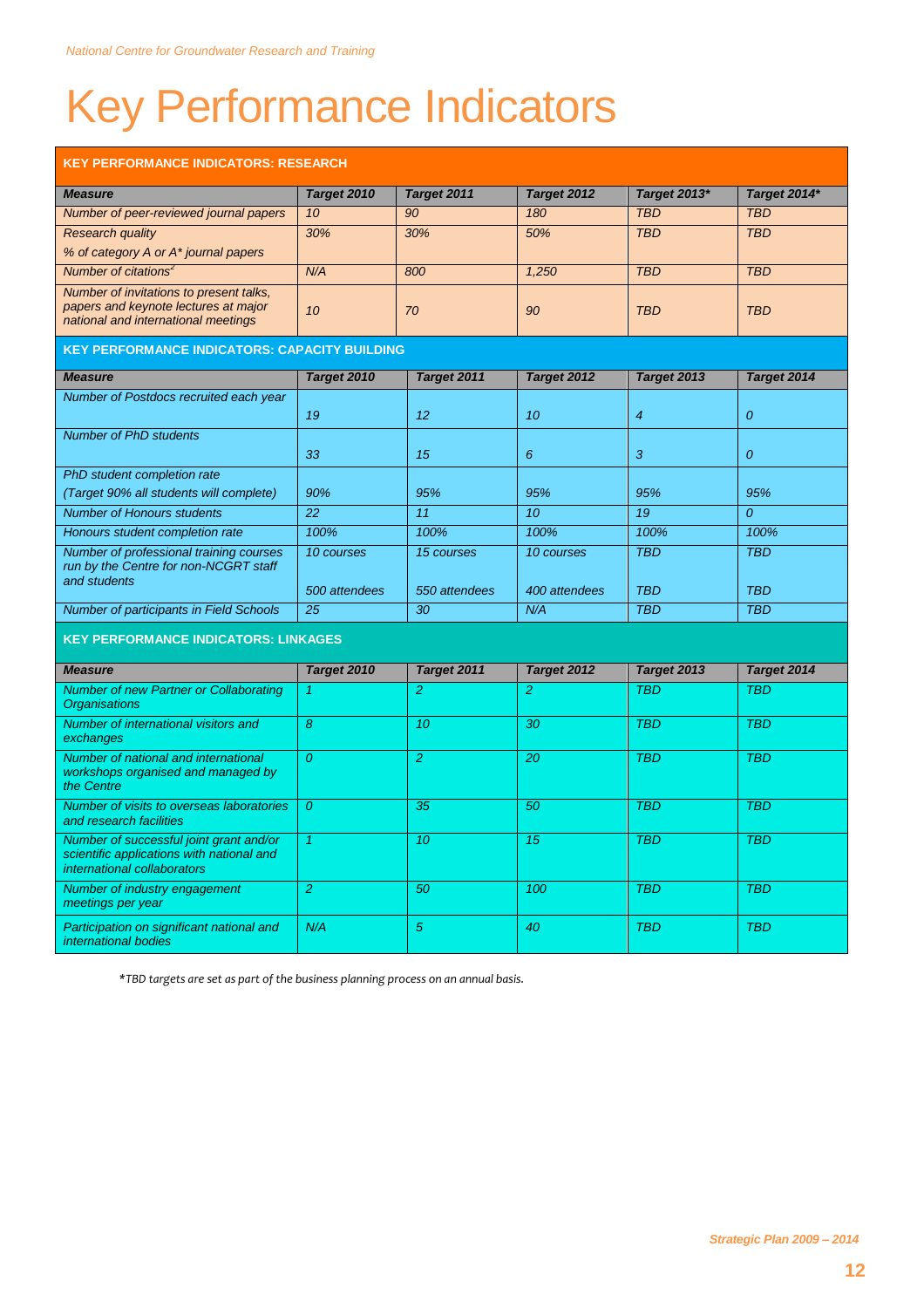# Key Performance Indicators

| <b>KEY PERFORMANCE INDICATORS: RESEARCH</b>                                                                            |                  |                 |                 |                |                |
|------------------------------------------------------------------------------------------------------------------------|------------------|-----------------|-----------------|----------------|----------------|
| <b>Measure</b>                                                                                                         | Target 2010      | Target 2011     | Target 2012     | Target 2013*   | Target 2014*   |
| Number of peer-reviewed journal papers                                                                                 | 10 <sup>10</sup> | 90              | 180             | <b>TBD</b>     | <b>TBD</b>     |
| <b>Research quality</b>                                                                                                | 30%              | 30%             | 50%             | <b>TBD</b>     | <b>TBD</b>     |
| % of category A or A* journal papers                                                                                   |                  |                 |                 |                |                |
| Number of citations <sup>2</sup>                                                                                       | N/A              | 800             | 1,250           | <b>TBD</b>     | <b>TBD</b>     |
| Number of invitations to present talks.<br>papers and keynote lectures at major<br>national and international meetings | 10               | 70              | 90              | <b>TBD</b>     | <b>TBD</b>     |
| <b>KEY PERFORMANCE INDICATORS: CAPACITY BUILDING</b>                                                                   |                  |                 |                 |                |                |
| <b>Measure</b>                                                                                                         | Target 2010      | Target 2011     | Target 2012     | Target 2013    | Target 2014    |
| Number of Postdocs recruited each year                                                                                 | 19               | 12              | 10              | $\overline{4}$ | $\overline{O}$ |
| <b>Number of PhD students</b>                                                                                          |                  |                 |                 |                |                |
|                                                                                                                        | 33               | 15              | 6               | 3              | $\overline{O}$ |
| PhD student completion rate                                                                                            |                  |                 |                 |                |                |
| (Target 90% all students will complete)                                                                                | 90%              | 95%             | 95%             | 95%            | 95%            |
| <b>Number of Honours students</b>                                                                                      | $\overline{22}$  | $\overline{11}$ | $\overline{10}$ | 19             | $\overline{0}$ |
| Honours student completion rate                                                                                        | 100%             | 100%            | 100%            | 100%           | 100%           |
| Number of professional training courses<br>run by the Centre for non-NCGRT staff<br>and students                       | 10 courses       | 15 courses      | 10 courses      | <b>TBD</b>     | <b>TBD</b>     |
|                                                                                                                        | 500 attendees    | 550 attendees   | 400 attendees   | <b>TBD</b>     | <b>TBD</b>     |
| <b>Number of participants in Field Schools</b>                                                                         | $\overline{25}$  | $\overline{30}$ | N/A             | <b>TBD</b>     | <b>TBD</b>     |
| <b>KEY PERFORMANCE INDICATORS: LINKAGES</b>                                                                            |                  |                 |                 |                |                |
| <b>Measure</b>                                                                                                         | Target 2010      | Target 2011     | Target 2012     | Target 2013    | Target 2014    |
| <b>Number of new Partner or Collaborating</b><br><b>Organisations</b>                                                  | 1                | $\overline{2}$  | $\overline{2}$  | <b>TBD</b>     | <b>TBD</b>     |
| Number of international visitors and<br>exchanges                                                                      | 8                | 10              | 30              | <b>TBD</b>     | <b>TBD</b>     |
| Number of national and international<br>workshops organised and managed by<br>the Centre                               | $\overline{0}$   | $\overline{2}$  | 20              | <b>TBD</b>     | <b>TBD</b>     |
| Number of visits to overseas laboratories<br>and research facilities                                                   | $\overline{O}$   | 35              | 50              | <b>TBD</b>     | <b>TBD</b>     |
| Number of successful joint grant and/or<br>scientific applications with national and<br>international collaborators    | $\overline{1}$   | $\overline{10}$ | $\overline{15}$ | <b>TBD</b>     | <b>TBD</b>     |
| Number of industry engagement<br>meetings per year                                                                     | $\overline{2}$   | 50              | 100             | <b>TBD</b>     | <b>TBD</b>     |
| Participation on significant national and<br>international bodies                                                      | N/A              | 5               | 40              | <b>TBD</b>     | <b>TBD</b>     |

*\*TBD targets are set as part of the business planning process on an annual basis.*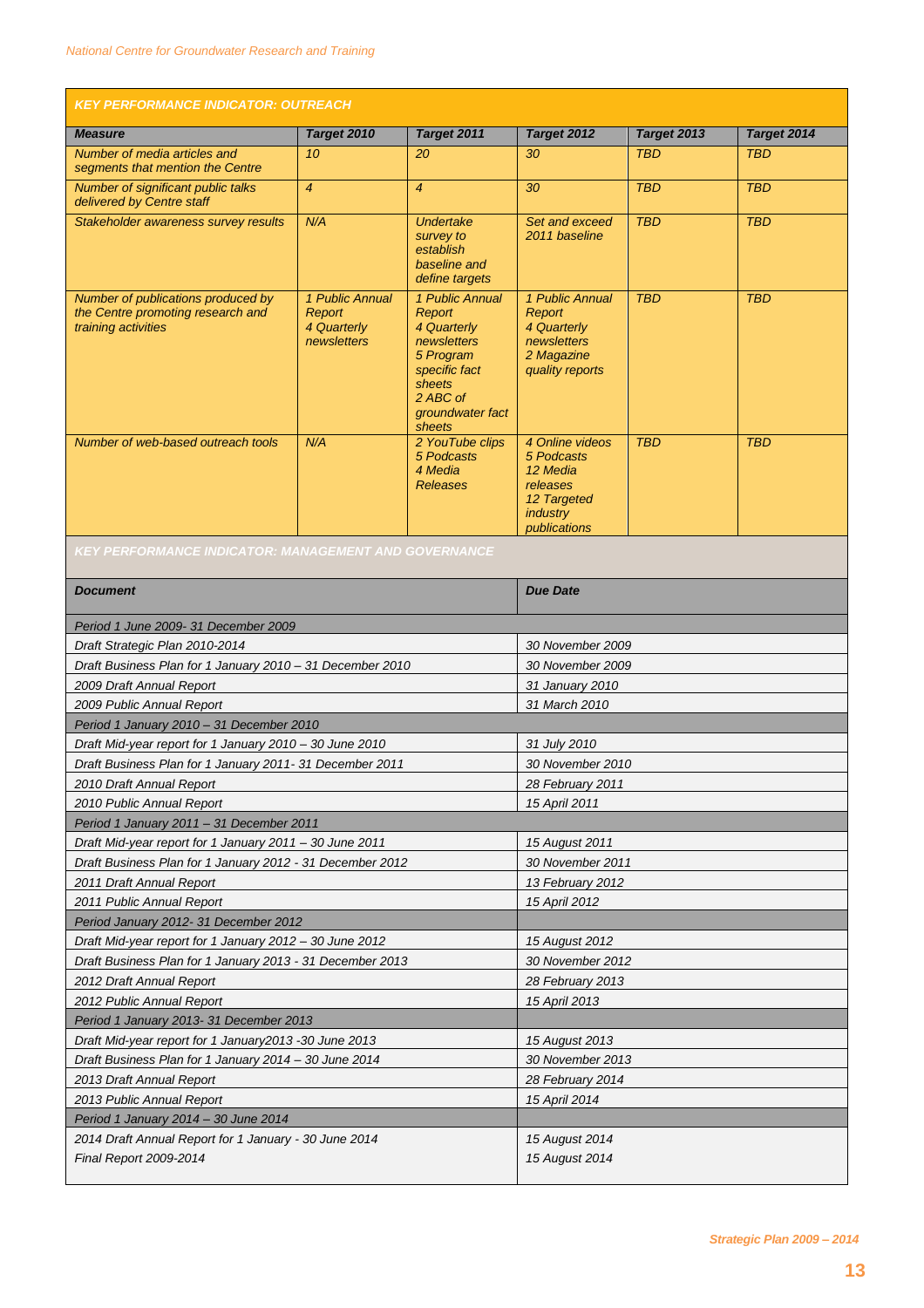| <b>KEY PERFORMANCE INDICATOR: OUTREACH</b>                                                     |                                                         |                                                                                                                                           |                                                                                                         |             |             |
|------------------------------------------------------------------------------------------------|---------------------------------------------------------|-------------------------------------------------------------------------------------------------------------------------------------------|---------------------------------------------------------------------------------------------------------|-------------|-------------|
| <b>Measure</b>                                                                                 | Target 2010                                             | Target 2011                                                                                                                               | Target 2012                                                                                             | Target 2013 | Target 2014 |
| Number of media articles and<br>segments that mention the Centre                               | 10 <sup>10</sup>                                        | 20                                                                                                                                        | 30                                                                                                      | <b>TBD</b>  | <b>TBD</b>  |
| Number of significant public talks<br>delivered by Centre staff                                | $\overline{4}$                                          | $\overline{4}$                                                                                                                            | 30                                                                                                      | <b>TBD</b>  | <b>TBD</b>  |
| Stakeholder awareness survey results                                                           | N/A                                                     | <b>Undertake</b><br>survey to<br>establish<br>baseline and<br>define targets                                                              | Set and exceed<br>2011 baseline                                                                         | <b>TBD</b>  | <b>TBD</b>  |
| Number of publications produced by<br>the Centre promoting research and<br>training activities | 1 Public Annual<br>Report<br>4 Quarterly<br>newsletters | 1 Public Annual<br>Report<br>4 Quarterly<br>newsletters<br>5 Program<br>specific fact<br>sheets<br>2 ABC of<br>groundwater fact<br>sheets | 1 Public Annual<br>Report<br>4 Quarterly<br>newsletters<br>2 Magazine<br>quality reports                | <b>TBD</b>  | <b>TBD</b>  |
| Number of web-based outreach tools                                                             | N/A                                                     | 2 YouTube clips<br>5 Podcasts<br>4 Media<br><b>Releases</b>                                                                               | 4 Online videos<br>5 Podcasts<br>12 Media<br>releases<br>12 Targeted<br><i>industry</i><br>publications | <b>TBD</b>  | <b>TBD</b>  |

| <b>Document</b>                                           | <b>Due Date</b>  |  |  |  |
|-----------------------------------------------------------|------------------|--|--|--|
| Period 1 June 2009- 31 December 2009                      |                  |  |  |  |
| Draft Strategic Plan 2010-2014                            | 30 November 2009 |  |  |  |
| Draft Business Plan for 1 January 2010 - 31 December 2010 | 30 November 2009 |  |  |  |
| 2009 Draft Annual Report                                  | 31 January 2010  |  |  |  |
| 2009 Public Annual Report                                 | 31 March 2010    |  |  |  |
| Period 1 January 2010 - 31 December 2010                  |                  |  |  |  |
| Draft Mid-year report for 1 January 2010 - 30 June 2010   | 31 July 2010     |  |  |  |
| Draft Business Plan for 1 January 2011- 31 December 2011  | 30 November 2010 |  |  |  |
| 2010 Draft Annual Report                                  | 28 February 2011 |  |  |  |
| 2010 Public Annual Report                                 | 15 April 2011    |  |  |  |
| Period 1 January 2011 - 31 December 2011                  |                  |  |  |  |
| Draft Mid-year report for 1 January 2011 - 30 June 2011   | 15 August 2011   |  |  |  |
| Draft Business Plan for 1 January 2012 - 31 December 2012 | 30 November 2011 |  |  |  |
| 2011 Draft Annual Report                                  | 13 February 2012 |  |  |  |
| 2011 Public Annual Report                                 | 15 April 2012    |  |  |  |
| Period January 2012- 31 December 2012                     |                  |  |  |  |
| Draft Mid-year report for 1 January 2012 - 30 June 2012   | 15 August 2012   |  |  |  |
| Draft Business Plan for 1 January 2013 - 31 December 2013 | 30 November 2012 |  |  |  |
| 2012 Draft Annual Report                                  | 28 February 2013 |  |  |  |
| 2012 Public Annual Report                                 | 15 April 2013    |  |  |  |
| Period 1 January 2013- 31 December 2013                   |                  |  |  |  |
| Draft Mid-year report for 1 January 2013 - 30 June 2013   | 15 August 2013   |  |  |  |
| Draft Business Plan for 1 January 2014 - 30 June 2014     | 30 November 2013 |  |  |  |
| 2013 Draft Annual Report                                  | 28 February 2014 |  |  |  |
| 2013 Public Annual Report                                 | 15 April 2014    |  |  |  |
| Period 1 January 2014 - 30 June 2014                      |                  |  |  |  |
| 2014 Draft Annual Report for 1 January - 30 June 2014     | 15 August 2014   |  |  |  |
| Final Report 2009-2014                                    | 15 August 2014   |  |  |  |
|                                                           |                  |  |  |  |